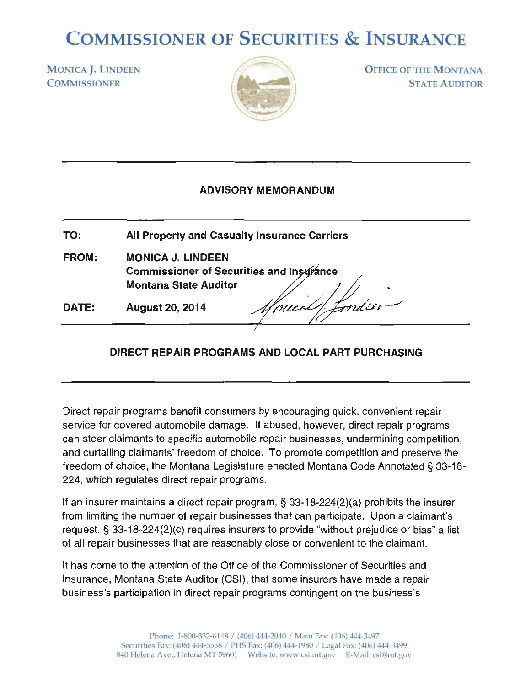## **COMMISSIONER OF SECURITIES & INSURANCE**

MONICA **J. LINDEEN COMMISSIONER** 



**OFFICE OF THE MONTANA** STATE A UDITOR

## **ADVISORY MEMORANDUM**

**TO: All Property and Casualty Insurance Carriers FROM: MONICA J. LINDEEN Commissioner of Securities and In nee Montana State Auditor** , / J *#* . **DATE:**  August 20, 2014 *Mouerl! Londer* 

## **DIRECT REPAIR PROGRAMS AND LOCAL PART PURCHASING**

Direct repair programs benefit consumers by encouraging quick, convenient repair service for covered automobile damage. If abused, however, direct repair programs can steer claimants to specific automobile repair businesses, undermining competition, and curtailing claimants' freedom of choice. To promote competition and preserve the freedom of choice, the Montana Legislature enacted Montana Code Annotated § 33-18- 224, which regulates direct repair programs.

If an insurer maintains a direct repair program, § 33-18-224(2)(a) prohibits the insurer from limiting the number of repair businesses that can participate. Upon a claimant's request, § 33-18-224(2)(c) requires insurers to provide "without prejudice or bias" a list of all repair businesses that are reasonably close or convenient to the claimant.

It has come to the attention of the Office of the Commissioner of Securities and Insurance, Montana State Auditor (CSI), that some insurers have made a repair business's participation in direct repair programs contingent on the business's